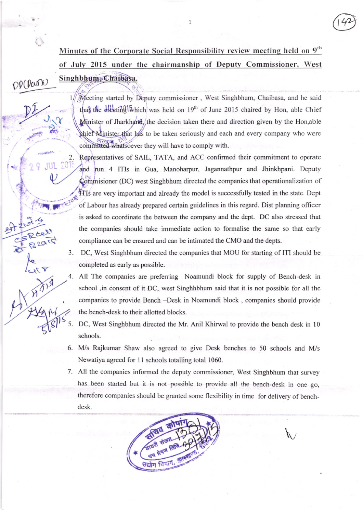Minutes of the Corporate Social Responsibility review meeting held on 9<sup>th</sup> of July 2015 under the chairmanship of Deputy Commissioner, West Singhbhum. Chaibasa.

1

 $\mathcal{P}(\mathcal{P} \infty)$ 

 $\bar{\epsilon}$ 

I

 $J_{1}x$ 

i"',ri.f''

i

 $\eta$ ) 501

2.

Meeting started by Deputy commissioner, West Singhbhum, Chaibasa, and he said af the meeting which was held on  $19<sup>th</sup>$  of June 2015 chaired by Hon, able Chief nister of Jharkhamd, the decision taken there and direction given by the Hon,able le the Minister that has to be taken seriously and each and every company who were committed whatsoever they will have to comply with.

> Representatives of SAIL, TATA, and ACC confirmed their commitment to operate and fun 4 ITIs in Gua, Manoharpur, Jagannathpur and Jhinkhpani. Deputy Commissioner (DC) west Singhbhum directed the companies that operationalization of ITIs are very important and already the model is successfully tested in the state. Dept of Labour has already prepared certain guidelines in this regard. Dist planning officer is asked to coordinate the between the company and the dept. DC also stressed that the companies should take immediate action to formalise the same so that early compliance can be ensured and can be intimated the CMO and the depts.

3. DC, West Singhbhum directed the companies that MOU for starting of ITI should be completed as early as possible.

4. All The companies are preferring Noamundi block for supply of Bench-desk in school ,in consent of it DC, west Singhhbhum said that it is not possible for all the companies to provide Bench -Desk in Noamundi block , companies should provide the bench-desk to their allotted blocks.

DC, West Singhbhum directed the Mr. Anil Khirwal to provide the bench desk in 10 schools. s\_J.

- M/s Rajkumar Shaw also agreed to give Desk benches to 50 schools and M/s 6 Newatiya agreed for 11 schools totalling total 1060.
- All the companies informed the deputy commissioner, West Singhbhum that survey 7 has been started but it is not possible to provide all the bench-desk in one go, therefore companies should be granted some flexibility in time for delivery of benchdesk.

U.